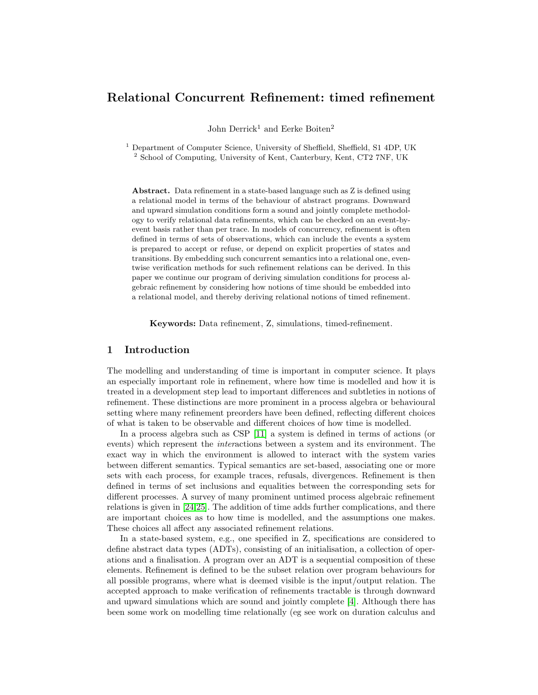# Relational Concurrent Refinement: timed refinement

John Derrick<sup>1</sup> and Eerke Boiten<sup>2</sup>

<sup>1</sup> Department of Computer Science, University of Sheffield, Sheffield, S1 4DP, UK <sup>2</sup> School of Computing, University of Kent, Canterbury, Kent, CT2 7NF, UK

Abstract. Data refinement in a state-based language such as Z is defined using a relational model in terms of the behaviour of abstract programs. Downward and upward simulation conditions form a sound and jointly complete methodology to verify relational data refinements, which can be checked on an event-byevent basis rather than per trace. In models of concurrency, refinement is often defined in terms of sets of observations, which can include the events a system is prepared to accept or refuse, or depend on explicit properties of states and transitions. By embedding such concurrent semantics into a relational one, eventwise verification methods for such refinement relations can be derived. In this paper we continue our program of deriving simulation conditions for process algebraic refinement by considering how notions of time should be embedded into a relational model, and thereby deriving relational notions of timed refinement.

Keywords: Data refinement, Z, simulations, timed-refinement.

## 1 Introduction

The modelling and understanding of time is important in computer science. It plays an especially important role in refinement, where how time is modelled and how it is treated in a development step lead to important differences and subtleties in notions of refinement. These distinctions are more prominent in a process algebra or behavioural setting where many refinement preorders have been defined, reflecting different choices of what is taken to be observable and different choices of how time is modelled.

In a process algebra such as CSP [\[11\]](#page-14-0) a system is defined in terms of actions (or events) which represent the interactions between a system and its environment. The exact way in which the environment is allowed to interact with the system varies between different semantics. Typical semantics are set-based, associating one or more sets with each process, for example traces, refusals, divergences. Refinement is then defined in terms of set inclusions and equalities between the corresponding sets for different processes. A survey of many prominent untimed process algebraic refinement relations is given in [\[24,](#page-14-1)[25\]](#page-14-2). The addition of time adds further complications, and there are important choices as to how time is modelled, and the assumptions one makes. These choices all affect any associated refinement relations.

In a state-based system, e.g., one specified in Z, specifications are considered to define abstract data types (ADTs), consisting of an initialisation, a collection of operations and a finalisation. A program over an ADT is a sequential composition of these elements. Refinement is defined to be the subset relation over program behaviours for all possible programs, where what is deemed visible is the input/output relation. The accepted approach to make verification of refinements tractable is through downward and upward simulations which are sound and jointly complete [\[4\]](#page-13-0). Although there has been some work on modelling time relationally (eg see work on duration calculus and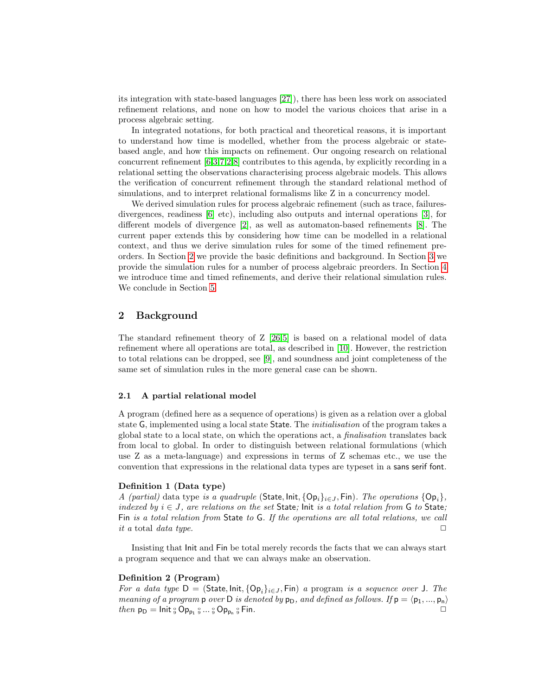its integration with state-based languages [\[27\]](#page-14-3)), there has been less work on associated refinement relations, and none on how to model the various choices that arise in a process algebraic setting.

In integrated notations, for both practical and theoretical reasons, it is important to understand how time is modelled, whether from the process algebraic or statebased angle, and how this impacts on refinement. Our ongoing research on relational concurrent refinement [\[6,](#page-13-1)[3,](#page-13-2)[7](#page-13-3)[,2,](#page-13-4)[8\]](#page-13-5) contributes to this agenda, by explicitly recording in a relational setting the observations characterising process algebraic models. This allows the verification of concurrent refinement through the standard relational method of simulations, and to interpret relational formalisms like Z in a concurrency model.

We derived simulation rules for process algebraic refinement (such as trace, failuresdivergences, readiness [\[6\]](#page-13-1) etc), including also outputs and internal operations [\[3\]](#page-13-2), for different models of divergence [\[2\]](#page-13-4), as well as automaton-based refinements [\[8\]](#page-13-5). The current paper extends this by considering how time can be modelled in a relational context, and thus we derive simulation rules for some of the timed refinement preorders. In Section [2](#page-1-0) we provide the basic definitions and background. In Section [3](#page-3-0) we provide the simulation rules for a number of process algebraic preorders. In Section [4](#page-5-0) we introduce time and timed refinements, and derive their relational simulation rules. We conclude in Section [5.](#page-11-0)

# <span id="page-1-0"></span>2 Background

The standard refinement theory of Z [\[26,](#page-14-4)[5\]](#page-13-6) is based on a relational model of data refinement where all operations are total, as described in [\[10\]](#page-14-5). However, the restriction to total relations can be dropped, see [\[9\]](#page-14-6), and soundness and joint completeness of the same set of simulation rules in the more general case can be shown.

### 2.1 A partial relational model

A program (defined here as a sequence of operations) is given as a relation over a global state G, implemented using a local state State. The *initialisation* of the program takes a global state to a local state, on which the operations act, a finalisation translates back from local to global. In order to distinguish between relational formulations (which use Z as a meta-language) and expressions in terms of Z schemas etc., we use the convention that expressions in the relational data types are typeset in a sans serif font.

#### <span id="page-1-1"></span>Definition 1 (Data type)

A (partial) data type is a quadruple (State, Init,  $\{Op_i\}_{i\in J}$ , Fin). The operations  $\{Op_i\}$ , indexed by  $i \in J$ , are relations on the set State; Init is a total relation from G to State; Fin is a total relation from State to G. If the operations are all total relations, we call it a total data type.  $\Box$ 

Insisting that Init and Fin be total merely records the facts that we can always start a program sequence and that we can always make an observation.

### <span id="page-1-2"></span>Definition 2 (Program)

<span id="page-1-3"></span>For a data type  $D = (State, init, \{Op_i\}_{i \in J}, Fin)$  a program is a sequence over J. The meaning of a program  $p$  over  $D$  is denoted by  $p_D$ , and defined as follows. If  $p = \langle p_1, ..., p_n \rangle$  $then \; p_D = \text{Init } \frac{\circ}{9} \, \text{Op}_{p_1} \, \frac{\circ}{9} \, ... \, \frac{\circ}{9} \, \text{Op}_{p_n} \, \frac{\circ}{9}$  $\frac{6}{9}$  Fin.  $\Box$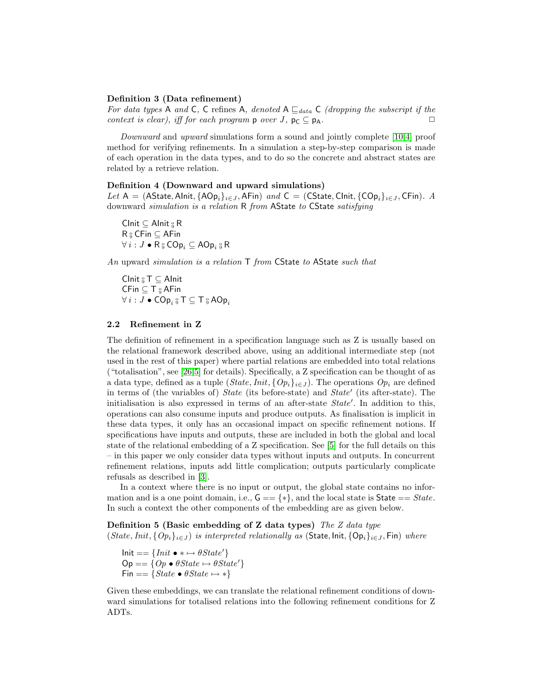#### Definition 3 (Data refinement)

For data types A and C, C refines A, denoted  $A \sqsubseteq_{data} C$  (dropping the subscript if the context is clear), iff for each program  $p$  over J,  $p_c \subseteq p_A$ .

Downward and upward simulations form a sound and jointly complete [\[10,](#page-14-5)[4\]](#page-13-0) proof method for verifying refinements. In a simulation a step-by-step comparison is made of each operation in the data types, and to do so the concrete and abstract states are related by a retrieve relation.

## <span id="page-2-0"></span>Definition 4 (Downward and upward simulations)

Let A = (AState, Alnit,  $\{AOp_i\}_{i\in J}$ , AFin) and C = (CState, Clnit,  $\{COp_i\}_{i\in J}$ , CFin). A downward simulation is a relation R from AState to CState satisfying

 $\mathsf{Clnit} \subseteq \mathsf{Alnit} \, \S\, \mathsf{R}$  $R_{\frac{9}{9}}$ CFin  $\subseteq$  AFin  $\forall\,i:J\bullet{\sf R}\operatorname{\raisebox{-2pt}{$\scriptstyle\circ$}}\nolimits{\sf COp}_i\subseteq{\sf AOp}_i\operatorname{\raisebox{-2pt}{$\scriptstyle\circ$}}\nolimits_i{\sf R}$ 

An upward simulation is a relation  $\mathsf T$  from CState to AState such that

CInit  ${}_{9}$  T  $\subseteq$  Alnit  $\mathsf{CFin} \subseteq \mathsf{T} \mathbin{\substack{\circ \\ 9}} \mathsf{AFin}$  $\forall\,i:J\bullet\mathsf{COp}_i\mathbin{\substack{\circ\\ }}\mathsf{T}\subseteq\mathsf{T}\mathbin{\substack{\circ\\}}\mathsf{AOp}_i$ 

#### 2.2 Refinement in Z

The definition of refinement in a specification language such as Z is usually based on the relational framework described above, using an additional intermediate step (not used in the rest of this paper) where partial relations are embedded into total relations ("totalisation", see [\[26](#page-14-4)[,5\]](#page-13-6) for details). Specifically, a Z specification can be thought of as a data type, defined as a tuple (State, Init, { $Op_i\_{i\in J}$ ). The operations  $Op_i$  are defined in terms of (the variables of)  $State$  (its before-state) and  $State'$  (its after-state). The initialisation is also expressed in terms of an after-state  $State'$ . In addition to this, operations can also consume inputs and produce outputs. As finalisation is implicit in these data types, it only has an occasional impact on specific refinement notions. If specifications have inputs and outputs, these are included in both the global and local state of the relational embedding of a Z specification. See [\[5\]](#page-13-6) for the full details on this – in this paper we only consider data types without inputs and outputs. In concurrent refinement relations, inputs add little complication; outputs particularly complicate refusals as described in [\[3\]](#page-13-2).

In a context where there is no input or output, the global state contains no information and is a one point domain, i.e.,  $G = \{*\}$ , and the local state is State  $= = State$ . In such a context the other components of the embedding are as given below.

**Definition 5 (Basic embedding of Z data types)** The Z data type (State, Init,  $\{Op_i\}_{i\in J}$ ) is interpreted relationally as (State, Init,  $\{Op_i\}_{i\in J}$ , Fin) where

 $Init == \{Init \bullet * \mapsto \theta State'\}$  $Op == \{Op \bullet \theta State \mapsto \theta State'\}$ Fin ==  ${State \bullet \theta State \mapsto *}$ 

Given these embeddings, we can translate the relational refinement conditions of downward simulations for totalised relations into the following refinement conditions for Z ADTs.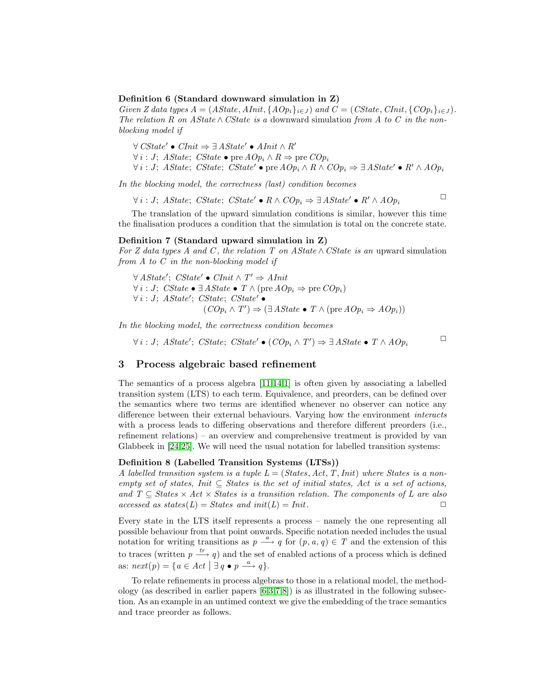#### Definition 6 (Standard downward simulation in Z)

Given Z data types  $A = (AState, AInit, \{AOp_i\}_{i \in J})$  and  $C = (CState, CInit, \{COp_i\}_{i \in J})$ . The relation R on AState  $\wedge$  CState is a downward simulation from A to C in the nonblocking model if

 $\forall \; CState' \bullet \; CInit \Rightarrow \exists \; AState' \bullet \; AInit \wedge R'$  $\forall i : J$ ; AState; CState • pre  $AOp_i \wedge R \Rightarrow$  pre  $COp_i$  $\forall i : J; \text{ AState}; \text{ CState} \bullet \text{ CState} \bullet \text{ pre } \text{A}Op_i \wedge R \wedge \text{C}Op_i \Rightarrow \exists \text{ AState} \bullet \text{ R'} \wedge \text{A}Op_i$ 

In the blocking model, the correctness (last) condition becomes

 $\forall i : J; Astate; CState; CState' \bullet R \wedge Cop_i \Rightarrow \exists Astate' \bullet R' \wedge AOp_i$  $\Box$ 

The translation of the upward simulation conditions is similar, however this time the finalisation produces a condition that the simulation is total on the concrete state.

#### Definition 7 (Standard upward simulation in Z)

For Z data types A and C, the relation T on AState  $\land$  CState is an upward simulation from A to C in the non-blocking model if

 $\forall$  AState'; CState' • CInit  $\land$  T'  $\Rightarrow$  AInit  $\forall i : J$ ; CState •  $\exists$  AState • T  $\land$  (pre  $AOp_i \Rightarrow$  pre  $COp_i$ )  $\forall i : J; Astate'; CState; CState'$  $(COp_i \wedge T') \Rightarrow (\exists \text{ AState} \bullet T \wedge (\text{pre} \text{ } AOp_i \Rightarrow \text{ } AOp_i))$ 

In the blocking model, the correctness condition becomes

 $\forall i : J; \text{ AState}'; \text{ CState}; \text{ CState}' \bullet (COp_i \wedge T') \Rightarrow \exists \text{ AState} \bullet T \wedge AOp_i$  $\Box$ 

## <span id="page-3-0"></span>3 Process algebraic based refinement

The semantics of a process algebra [\[11,](#page-14-0)[14](#page-14-7)[,1\]](#page-13-7) is often given by associating a labelled transition system (LTS) to each term. Equivalence, and preorders, can be defined over the semantics where two terms are identified whenever no observer can notice any difference between their external behaviours. Varying how the environment interacts with a process leads to differing observations and therefore different preorders (i.e., refinement relations) – an overview and comprehensive treatment is provided by van Glabbeek in [\[24](#page-14-1)[,25\]](#page-14-2). We will need the usual notation for labelled transition systems:

### Definition 8 (Labelled Transition Systems (LTSs))

A labelled transition system is a tuple  $L = (States, Act, T,Init)$  where States is a nonempty set of states, Init  $\subseteq$  States is the set of initial states, Act is a set of actions, and  $T \subseteq States \times Act \times States$  is a transition relation. The components of L are also  $accessed$  as  $states(L) = States$  and  $init(L) = Init.$ 

Every state in the LTS itself represents a process – namely the one representing all possible behaviour from that point onwards. Specific notation needed includes the usual notation for writing transitions as  $p \stackrel{a}{\longrightarrow} q$  for  $(p, a, q) \in T$  and the extension of this to traces (written  $p \stackrel{tr}{\longrightarrow} q$ ) and the set of enabled actions of a process which is defined as:  $next(p) = \{a \in Act \mid \exists q \bullet p \stackrel{a}{\longrightarrow} q\}.$ 

To relate refinements in process algebras to those in a relational model, the methodology (as described in earlier papers  $[6,3,7,8]$  $[6,3,7,8]$  $[6,3,7,8]$  $[6,3,7,8]$ ) is as illustrated in the following subsection. As an example in an untimed context we give the embedding of the trace semantics and trace preorder as follows.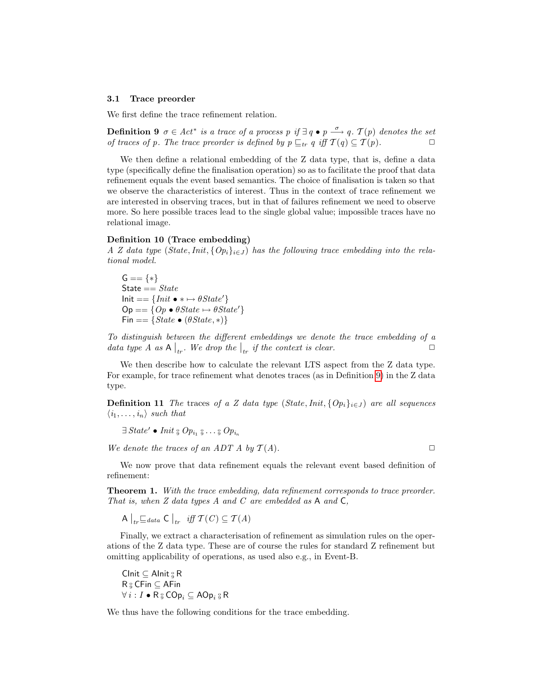#### 3.1 Trace preorder

<span id="page-4-0"></span>We first define the trace refinement relation.

**Definition 9**  $\sigma \in Act^*$  is a trace of a process p if  $\exists q \bullet p \stackrel{\sigma}{\longrightarrow} q$ .  $\mathcal{T}(p)$  denotes the set of traces of p. The trace preorder is defined by  $p \sqsubseteq_{tr} q$  iff  $\mathcal{T} (q) \subseteq \mathcal{T} (p)$ .

We then define a relational embedding of the Z data type, that is, define a data type (specifically define the finalisation operation) so as to facilitate the proof that data refinement equals the event based semantics. The choice of finalisation is taken so that we observe the characteristics of interest. Thus in the context of trace refinement we are interested in observing traces, but in that of failures refinement we need to observe more. So here possible traces lead to the single global value; impossible traces have no relational image.

#### <span id="page-4-1"></span>Definition 10 (Trace embedding)

A Z data type (State, Init,  $\{Op_i\}_{i\in J}$ ) has the following trace embedding into the relational model.

 $G == \{*\}$ State  $== State$  $Init == \{Init \bullet * \mapsto \theta State'\}$  $Op == \{Op \bullet \theta State \mapsto \theta State'\}$  $Fin = \{State \bullet (\theta State, *)\}$ 

To distinguish between the different embeddings we denote the trace embedding of a data type A as  $A \big|_{tr}$ . We drop the  $\big|_{tr}$  if the context is clear.

We then describe how to calculate the relevant LTS aspect from the Z data type. For example, for trace refinement what denotes traces (as in Definition [9\)](#page-4-0) in the Z data type.

<span id="page-4-2"></span>**Definition 11** The traces of a Z data type (State, Init,  $\{Op_i\}_{i\in J}$ ) are all sequences  $\langle i_1, \ldots, i_n \rangle$  such that

 $\exists State' \bullet Init \S$   $Op_{i_1} \S \ldots \S$   $Op_{i_n}$ 

We denote the traces of an ADT A by  $T(A)$ .

<span id="page-4-3"></span>We now prove that data refinement equals the relevant event based definition of refinement:

**Theorem 1.** With the trace embedding, data refinement corresponds to trace preorder. That is, when  $Z$  data types  $A$  and  $C$  are embedded as  $A$  and  $C$ ,

A  $\big|_{tr} \sqsubseteq_{data} C \big|_{tr}$  iff  $\mathcal{T}(C) \subseteq \mathcal{T}(A)$ 

Finally, we extract a characterisation of refinement as simulation rules on the operations of the Z data type. These are of course the rules for standard Z refinement but omitting applicability of operations, as used also e.g., in Event-B.

 $\mathsf{Clnit} \subseteq \mathsf{Alnit} \mathbin{\substack{\circ \\ 9}} \mathsf{R}$  $R$  $\frac{\circ}{9}$  CFin  $\subseteq$  AFin  $\forall\,i:I\bullet{\sf R}\operatorname{\mathsf{_{\mathrm{g}}}}\mathsf{COp}_i\subseteq\mathsf{AOp}_i\operatorname{\mathsf{_{\mathrm{g}}}}\mathsf{R}$ 

<span id="page-4-4"></span>We thus have the following conditions for the trace embedding.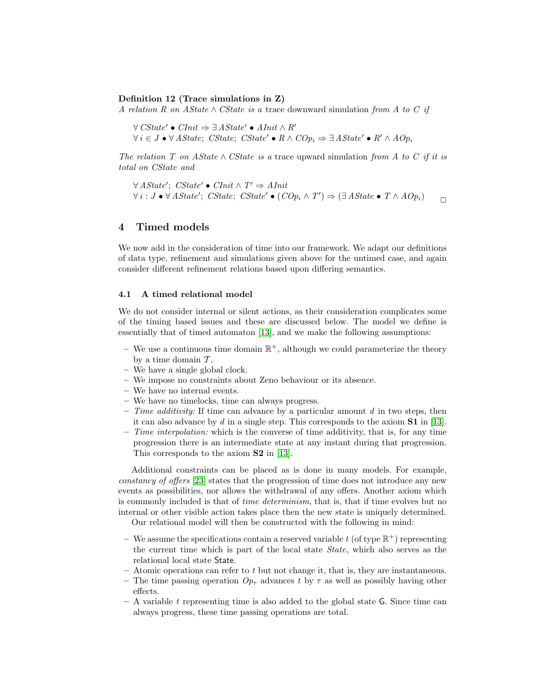### Definition 12 (Trace simulations in Z)

A relation R on AState  $\land$  CState is a trace downward simulation from A to C if

 $\forall \; CState' \bullet \; CInit \Rightarrow \exists \; AState' \bullet \; AInit \wedge R'$  $\forall i \in J \bullet \forall \textit{AState}; \textit{CState'} \bullet R \land \textit{COp}_i \Rightarrow \exists \textit{AState'} \bullet R' \land \textit{AOp}_i$ 

The relation T on AState  $\wedge$  CState is a trace upward simulation from A to C if it is total on CState and

 $\forall$  AState'; CState' • CInit  $\land$  T'  $\Rightarrow$  AInit  $\forall i: J \bullet \forall \mathit{AState'}; \mathit{CState} \in \mathit{CStep}_i \land T' \Rightarrow (\exists \mathit{AState} \bullet \mathit{T} \land \mathit{AOp}_i) \qquad \Box$ 

# <span id="page-5-0"></span>4 Timed models

We now add in the consideration of time into our framework. We adapt our definitions of data type, refinement and simulations given above for the untimed case, and again consider different refinement relations based upon differing semantics.

### 4.1 A timed relational model

We do not consider internal or silent actions, as their consideration complicates some of the timing based issues and these are discussed below. The model we define is essentially that of timed automaton [\[13\]](#page-14-8), and we make the following assumptions:

- We use a continuous time domain  $\mathbb{R}^+$ , although we could parameterize the theory by a time domain  $\mathcal T$ .
- We have a single global clock.
- We impose no constraints about Zeno behaviour or its absence.
- We have no internal events.
- We have no timelocks, time can always progress.
- Time additivity: If time can advance by a particular amount  $d$  in two steps, then it can also advance by d in a single step. This corresponds to the axiom  $S1$  in [\[13\]](#page-14-8).
- $-$  Time interpolation: which is the converse of time additivity, that is, for any time progression there is an intermediate state at any instant during that progression. This corresponds to the axiom S2 in [\[13\]](#page-14-8).

Additional constraints can be placed as is done in many models. For example, constancy of offers [\[23\]](#page-14-9) states that the progression of time does not introduce any new events as possibilities, nor allows the withdrawal of any offers. Another axiom which is commonly included is that of *time determinism*, that is, that if time evolves but no internal or other visible action takes place then the new state is uniquely determined.

Our relational model will then be constructed with the following in mind:

- We assume the specifications contain a reserved variable t (of type  $\mathbb{R}^+$ ) representing the current time which is part of the local state State, which also serves as the relational local state State.
- $-$  Atomic operations can refer to t but not change it, that is, they are instantaneous.
- The time passing operation  $Op_\tau$  advances t by  $\tau$  as well as possibly having other effects.
- $-$  A variable t representing time is also added to the global state G. Since time can always progress, these time passing operations are total.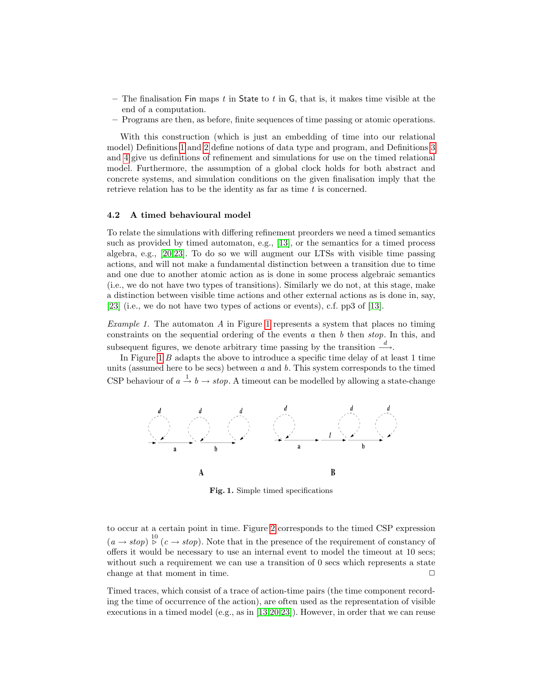- The finalisation Fin maps t in State to t in G, that is, it makes time visible at the end of a computation.
- Programs are then, as before, finite sequences of time passing or atomic operations.

With this construction (which is just an embedding of time into our relational model) Definitions [1](#page-1-1) and [2](#page-1-2) define notions of data type and program, and Definitions [3](#page-1-3) and [4](#page-2-0) give us definitions of refinement and simulations for use on the timed relational model. Furthermore, the assumption of a global clock holds for both abstract and concrete systems, and simulation conditions on the given finalisation imply that the retrieve relation has to be the identity as far as time  $t$  is concerned.

#### 4.2 A timed behavioural model

To relate the simulations with differing refinement preorders we need a timed semantics such as provided by timed automaton, e.g., [\[13\]](#page-14-8), or the semantics for a timed process algebra, e.g., [\[20](#page-14-10)[,23\]](#page-14-9). To do so we will augment our LTSs with visible time passing actions, and will not make a fundamental distinction between a transition due to time and one due to another atomic action as is done in some process algebraic semantics (i.e., we do not have two types of transitions). Similarly we do not, at this stage, make a distinction between visible time actions and other external actions as is done in, say, [\[23\]](#page-14-9) (i.e., we do not have two types of actions or events), c.f. pp3 of [\[13\]](#page-14-8).

*Example [1](#page-6-0).* The automaton A in Figure 1 represents a system that places no timing constraints on the sequential ordering of the events  $a$  then  $b$  then  $stop$ . In this, and subsequent figures, we denote arbitrary time passing by the transition  $\stackrel{d}{\longrightarrow}$ .

In Figure [1](#page-6-0)  $B$  adapts the above to introduce a specific time delay of at least 1 time units (assumed here to be secs) between  $a$  and  $b$ . This system corresponds to the timed CSP behaviour of  $a \stackrel{1}{\rightarrow} b \rightarrow stop$ . A timeout can be modelled by allowing a state-change



<span id="page-6-0"></span>Fig. 1. Simple timed specifications

to occur at a certain point in time. Figure [2](#page-7-0) corresponds to the timed CSP expression  $(a \rightarrow stop) \overset{10}{\triangleright} (c \rightarrow stop)$ . Note that in the presence of the requirement of constancy of offers it would be necessary to use an internal event to model the timeout at 10 secs; without such a requirement we can use a transition of 0 secs which represents a state change at that moment in time.  $\Box$ 

Timed traces, which consist of a trace of action-time pairs (the time component recording the time of occurrence of the action), are often used as the representation of visible executions in a timed model (e.g., as in [\[13](#page-14-8)[,20](#page-14-10)[,23\]](#page-14-9)). However, in order that we can reuse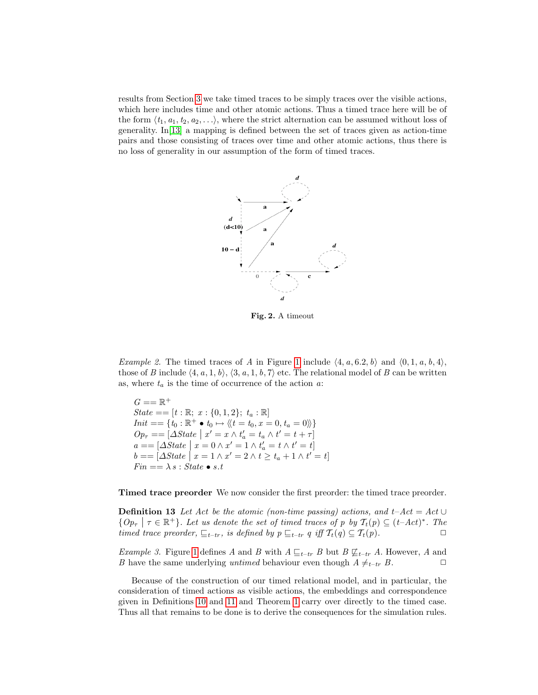results from Section [3](#page-3-0) we take timed traces to be simply traces over the visible actions, which here includes time and other atomic actions. Thus a timed trace here will be of the form  $\langle t_1, a_1, t_2, a_2, \ldots \rangle$ , where the strict alternation can be assumed without loss of generality. In[\[13\]](#page-14-8) a mapping is defined between the set of traces given as action-time pairs and those consisting of traces over time and other atomic actions, thus there is no loss of generality in our assumption of the form of timed traces.



<span id="page-7-0"></span>Fig. 2. A timeout

*Example 2.* The timed traces of A in Figure [1](#page-6-0) include  $\langle 4, a, 6, 2, b \rangle$  and  $\langle 0, 1, a, b, 4 \rangle$ , those of B include  $\langle 4, a, 1, b \rangle$ ,  $\langle 3, a, 1, b, 7 \rangle$  etc. The relational model of B can be written as, where  $t_a$  is the time of occurrence of the action  $a$ :

 $G==\mathbb{R}^+$  $State == [t : \mathbb{R}; x : \{0, 1, 2\}; t_a : \mathbb{R}]$  $Init == \{ t_0 : \mathbb{R}^+ \bullet t_0 \mapsto \langle \langle t = t_0, x = 0, t_a = 0 \rangle \}$  $Op_{\tau} = [\triangle State \mid x' = x \wedge t'_a = t_a \wedge t' = t + \tau]$  $a == [\triangle State \mid x = 0 \land x' = 1 \land t'_a = t \land t' = t]$  $b == [\triangle State \mid x = 1 \land x' = 2 \land t \ge t_a + 1 \land t' = t]$  $Fin == \lambda s : State \bullet s.t$ 

<span id="page-7-1"></span>Timed trace preorder We now consider the first preorder: the timed trace preorder.

**Definition 13** Let Act be the atomic (non-time passing) actions, and t–Act = Act ∪  $\{Op_\tau \mid \tau \in \mathbb{R}^+\}$ . Let us denote the set of timed traces of p by  $\mathcal{T}_t(p) \subseteq (t - Act)^*$ . The timed trace preorder,  $\sqsubseteq_{t-tr}$ , is defined by  $p \sqsubseteq_{t-tr} q$  iff  $\mathcal{T}_t(q) \subseteq \mathcal{T}_t(p)$ .

*Example 3.* Figure [1](#page-6-0) defines A and B with  $A \subseteq_{t-tr} B$  but  $B \not\subseteq_{t-tr} A$ . However, A and B have the same underlying *untimed* behaviour even though  $A \neq_{t-tr} B$ .

Because of the construction of our timed relational model, and in particular, the consideration of timed actions as visible actions, the embeddings and correspondence given in Definitions [10](#page-4-1) and [11](#page-4-2) and Theorem [1](#page-4-3) carry over directly to the timed case. Thus all that remains to be done is to derive the consequences for the simulation rules.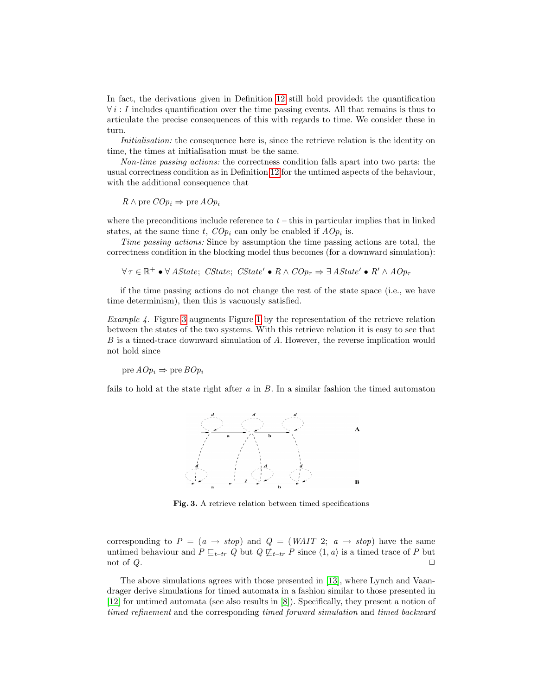In fact, the derivations given in Definition [12](#page-4-4) still hold providedt the quantification  $\forall i : I$  includes quantification over the time passing events. All that remains is thus to articulate the precise consequences of this with regards to time. We consider these in turn.

Initialisation: the consequence here is, since the retrieve relation is the identity on time, the times at initialisation must be the same.

Non-time passing actions: the correctness condition falls apart into two parts: the usual correctness condition as in Definition [12](#page-4-4) for the untimed aspects of the behaviour, with the additional consequence that

 $R \wedge$  pre  $COp_i \Rightarrow$  pre  $AOp_i$ 

where the preconditions include reference to  $t$  – this in particular implies that in linked states, at the same time t,  $COp_i$  can only be enabled if  $AOp_i$  is.

Time passing actions: Since by assumption the time passing actions are total, the correctness condition in the blocking model thus becomes (for a downward simulation):

 $\forall \tau \in \mathbb{R}^+ \bullet \forall A State; CState; CState' \bullet R \wedge COp_{\tau} \Rightarrow \exists A State' \bullet R' \wedge AOp_{\tau}$ 

if the time passing actions do not change the rest of the state space (i.e., we have time determinism), then this is vacuously satisfied.

Example 4. Figure [3](#page-8-0) augments Figure [1](#page-6-0) by the representation of the retrieve relation between the states of the two systems. With this retrieve relation it is easy to see that B is a timed-trace downward simulation of A. However, the reverse implication would not hold since

pre  $AOp_i \Rightarrow$ pre  $BOp_i$ 

fails to hold at the state right after a in B. In a similar fashion the timed automaton



<span id="page-8-0"></span>Fig. 3. A retrieve relation between timed specifications

corresponding to  $P = (a \rightarrow stop)$  and  $Q = (WAIT 2; a \rightarrow stop)$  have the same untimed behaviour and  $P \sqsubseteq_{t-tr} Q$  but  $Q \not\sqsubseteq_{t-tr} P$  since  $\langle 1, a \rangle$  is a timed trace of P but not of  $Q$ .

The above simulations agrees with those presented in [\[13\]](#page-14-8), where Lynch and Vaandrager derive simulations for timed automata in a fashion similar to those presented in [\[12\]](#page-14-11) for untimed automata (see also results in [\[8\]](#page-13-5)). Specifically, they present a notion of timed refinement and the corresponding timed forward simulation and timed backward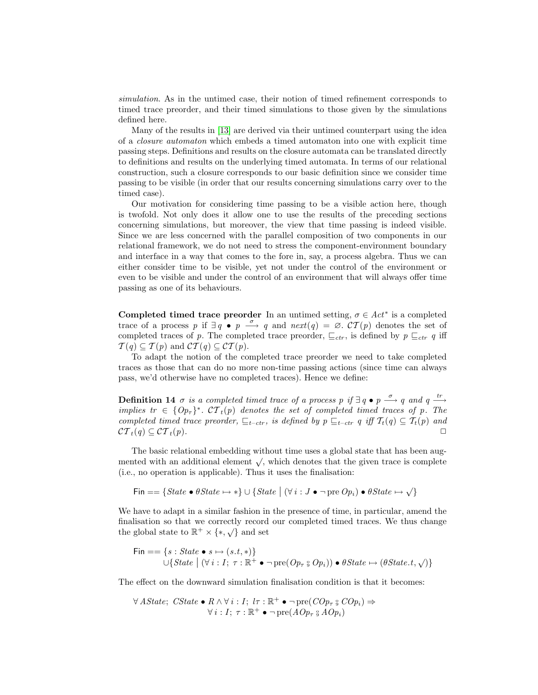simulation. As in the untimed case, their notion of timed refinement corresponds to timed trace preorder, and their timed simulations to those given by the simulations defined here.

Many of the results in [\[13\]](#page-14-8) are derived via their untimed counterpart using the idea of a closure automaton which embeds a timed automaton into one with explicit time passing steps. Definitions and results on the closure automata can be translated directly to definitions and results on the underlying timed automata. In terms of our relational construction, such a closure corresponds to our basic definition since we consider time passing to be visible (in order that our results concerning simulations carry over to the timed case).

Our motivation for considering time passing to be a visible action here, though is twofold. Not only does it allow one to use the results of the preceding sections concerning simulations, but moreover, the view that time passing is indeed visible. Since we are less concerned with the parallel composition of two components in our relational framework, we do not need to stress the component-environment boundary and interface in a way that comes to the fore in, say, a process algebra. Thus we can either consider time to be visible, yet not under the control of the environment or even to be visible and under the control of an environment that will always offer time passing as one of its behaviours.

Completed timed trace preorder In an untimed setting,  $\sigma \in Act^*$  is a completed trace of a process p if  $\exists q \bullet p \stackrel{\sigma}{\longrightarrow} q$  and  $next(q) = \varnothing$ .  $CT(p)$  denotes the set of completed traces of p. The completed trace preorder,  $\mathcal{L}_{ctr}$ , is defined by  $p \mathcal{L}_{ctr} q$  iff  $\mathcal{T}(q) \subseteq \mathcal{T}(p)$  and  $\mathcal{CT}(q) \subseteq \mathcal{CT}(p)$ .

To adapt the notion of the completed trace preorder we need to take completed traces as those that can do no more non-time passing actions (since time can always pass, we'd otherwise have no completed traces). Hence we define:

**Definition 14**  $\sigma$  is a completed timed trace of a process p if  $\exists q \bullet p \stackrel{\sigma}{\longrightarrow} q$  and  $q \stackrel{tr}{\longrightarrow}$ implies  $tr \in \{Op_\tau\}^*$ .  $CT_t(p)$  denotes the set of completed timed traces of p. The completed timed trace preorder,  $\subseteq_{t-ctr}$ , is defined by  $p \subseteq_{t-ctr} q$  iff  $\mathcal{T}_t(q) \subseteq \mathcal{T}_t(p)$  and  $\mathcal{CT}_t(q) \subseteq \mathcal{CT}_t(p).$ 

The basic relational embedding without time uses a global state that has been aug-The basic relational embedding without time uses a global state that has been augmented with an additional element  $\sqrt{ }$ , which denotes that the given trace is complete (i.e., no operation is applicable). Thus it uses the finalisation:

$$
\mathsf{Fin} == \{State \bullet \theta State \mapsto *\} \cup \{State \mid (\forall i : J \bullet \neg \text{pre } Op_i) \bullet \theta State \mapsto \sqrt{}\}
$$

We have to adapt in a similar fashion in the presence of time, in particular, amend the finalisation so that we correctly record our completed timed traces. We thus change the global state to  $\mathbb{R}^+ \times \{*, \sqrt{\}}$  and set

$$
Fin == \{s : State \bullet s \mapsto (s.t, *)\}
$$
  

$$
\cup \{State \mid (\forall i : I; \tau : \mathbb{R}^+ \bullet \neg \text{pre}(Op_{\tau \, \S} Op_i)) \bullet \theta State \mapsto (\theta State.t, \sqrt{\tau})\}
$$

The effect on the downward simulation finalisation condition is that it becomes:

 $\forall$  AState; CState •  $R \wedge \forall i : I; \; l\tau : \mathbb{R}^+ \bullet \neg \text{pre}(COp_{\tau} \circ \text{COp}_i) \Rightarrow$  $\forall i: I; \tau : \mathbb{R}^+ \bullet \neg \mathrm{pre}(AOp_\tau \mathbin{\S} AOp_i)$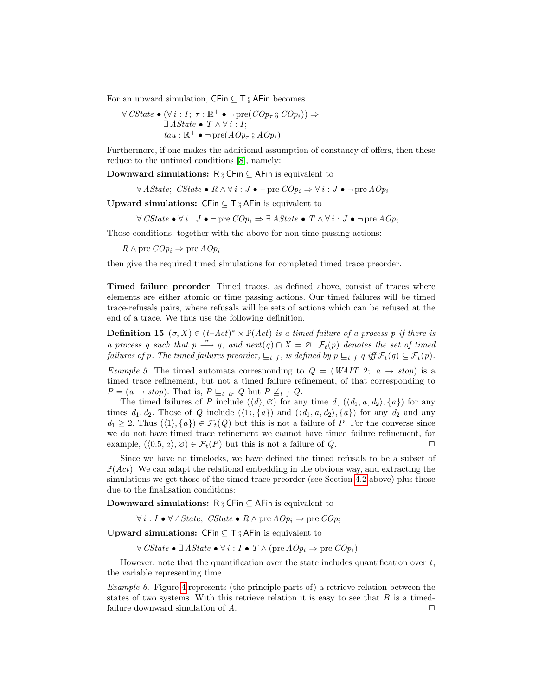For an upward simulation,  $CFin \subseteq T_{\frac{9}{2}}$  AFin becomes

$$
\forall \mathit{CState} \bullet (\forall i : I; \tau : \mathbb{R}^+ \bullet \neg \mathrm{pre}(\mathit{COp}_{\tau \, \hat{\mathsf{S}}} \mathit{COp}_i)) \Rightarrow \exists \mathit{AState} \bullet \mathit{T} \land \forall \, i : I; \mathit{tau} : \mathbb{R}^+ \bullet \neg \mathrm{pre}(\mathit{AOp}_{\tau \, \hat{\mathsf{S}}} \mathit{AOp}_i)
$$

Furthermore, if one makes the additional assumption of constancy of offers, then these reduce to the untimed conditions [\[8\]](#page-13-5), namely:

Downward simulations:  $R_{9}^{\circ}$  CFin  $\subseteq$  AFin is equivalent to

 $\forall$  AState; CState • R  $\land$   $\forall$  i : J • ¬pre COp<sub>i</sub>  $\Rightarrow$   $\forall$  i : J • ¬pre AOp<sub>i</sub>

Upward simulations: CFin  $\subseteq T$   $\circ$  AFin is equivalent to

 $\forall \; CState \bullet \forall \; i : J \bullet \neg \text{pre } COP_i \Rightarrow \exists \; AState \bullet T \land \forall \; i : J \bullet \neg \text{pre } AOp_i$ 

Those conditions, together with the above for non-time passing actions:

 $R \wedge$  pre  $COp_i \Rightarrow$  pre  $AOp_i$ 

then give the required timed simulations for completed timed trace preorder.

<span id="page-10-0"></span>Timed failure preorder Timed traces, as defined above, consist of traces where elements are either atomic or time passing actions. Our timed failures will be timed trace-refusals pairs, where refusals will be sets of actions which can be refused at the end of a trace. We thus use the following definition.

**Definition 15**  $(\sigma, X) \in (t - Act)^* \times \mathbb{P}(Act)$  is a timed failure of a process p if there is a process q such that  $p \stackrel{\sigma}{\longrightarrow} q$ , and  $next(q) \cap X = \varnothing$ .  $\mathcal{F}_t(p)$  denotes the set of timed failures of p. The timed failures preorder,  $\subseteq_{t-f}$ , is defined by  $p \subseteq_{t-f} q$  iff  $\mathcal{F}_t(q) \subseteq \mathcal{F}_t(p)$ .

Example 5. The timed automata corresponding to  $Q = (WAIT 2; a \rightarrow stop)$  is a timed trace refinement, but not a timed failure refinement, of that corresponding to  $P = (a \rightarrow stop)$ . That is,  $P \sqsubseteq_{t-tr} Q$  but  $P \not\sqsubseteq_{t-f} Q$ .

The timed failures of P include  $(\langle d \rangle, \varnothing)$  for any time d,  $(\langle d_1, a, d_2 \rangle, \{a\})$  for any times  $d_1, d_2$ . Those of Q include  $(\langle 1 \rangle, \{a\})$  and  $(\langle d_1, a, d_2 \rangle, \{a\})$  for any  $d_2$  and any  $d_1 \geq 2$ . Thus  $(\langle 1 \rangle, \{a\}) \in \mathcal{F}_t(Q)$  but this is not a failure of P. For the converse since we do not have timed trace refinement we cannot have timed failure refinement, for example,  $(0.5, a) \in \mathcal{F}_t(P)$  but this is not a failure of Q.

Since we have no timelocks, we have defined the timed refusals to be a subset of  $\mathbb{P}(Act)$ . We can adapt the relational embedding in the obvious way, and extracting the simulations we get those of the timed trace preorder (see Section [4.2](#page-7-1) above) plus those due to the finalisation conditions:

Downward simulations:  $R_{9}^{\circ}$  CFin  $\subseteq$  AFin is equivalent to

 $\forall i : I \bullet \forall \mathit{AState}; \mathit{CState} \bullet R \land \text{pre} \mathit{AOp}_i \Rightarrow \text{pre} \mathit{COp}_i$ 

Upward simulations: CFin  $\subseteq T$   $\circ$  AFin is equivalent to

 $\forall \; CState \bullet \exists \; AState \bullet \forall \; i : I \bullet T \land (pre \; AOp_i \Rightarrow pre \; COp_i)$ 

However, note that the quantification over the state includes quantification over  $t$ , the variable representing time.

Example 6. Figure [4](#page-11-1) represents (the principle parts of) a retrieve relation between the states of two systems. With this retrieve relation it is easy to see that  $B$  is a timedfailure downward simulation of  $A$ .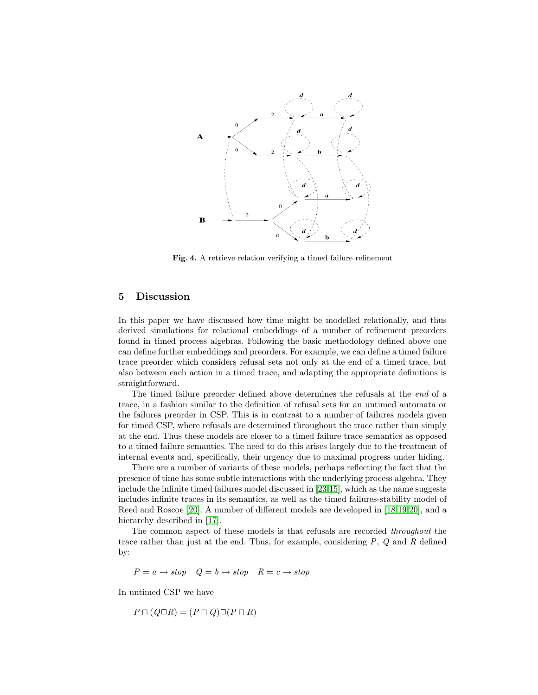

<span id="page-11-1"></span>Fig. 4. A retrieve relation verifying a timed failure refinement

### <span id="page-11-0"></span>5 Discussion

In this paper we have discussed how time might be modelled relationally, and thus derived simulations for relational embeddings of a number of refinement preorders found in timed process algebras. Following the basic methodology defined above one can define further embeddings and preorders. For example, we can define a timed failure trace preorder which considers refusal sets not only at the end of a timed trace, but also between each action in a timed trace, and adapting the appropriate definitions is straightforward.

The timed failure preorder defined above determines the refusals at the end of a trace, in a fashion similar to the definition of refusal sets for an untimed automata or the failures preorder in CSP. This is in contrast to a number of failures models given for timed CSP, where refusals are determined throughout the trace rather than simply at the end. Thus these models are closer to a timed failure trace semantics as opposed to a timed failure semantics. The need to do this arises largely due to the treatment of internal events and, specifically, their urgency due to maximal progress under hiding.

There are a number of variants of these models, perhaps reflecting the fact that the presence of time has some subtle interactions with the underlying process algebra. They include the infinite timed failures model discussed in [\[23,](#page-14-9)[15\]](#page-14-12), which as the name suggests includes infinite traces in its semantics, as well as the timed failures-stability model of Reed and Roscoe [\[20\]](#page-14-10). A number of different models are developed in [\[18](#page-14-13)[,19,](#page-14-14)[20\]](#page-14-10), and a hierarchy described in [\[17\]](#page-14-15).

The common aspect of these models is that refusals are recorded throughout the trace rather than just at the end. Thus, for example, considering  $P$ ,  $Q$  and  $R$  defined by:

$$
P = a \rightarrow stop \quad Q = b \rightarrow stop \quad R = c \rightarrow stop
$$

In untimed CSP we have

$$
P \sqcap (Q \sqcap R) = (P \sqcap Q) \sqcap (P \sqcap R)
$$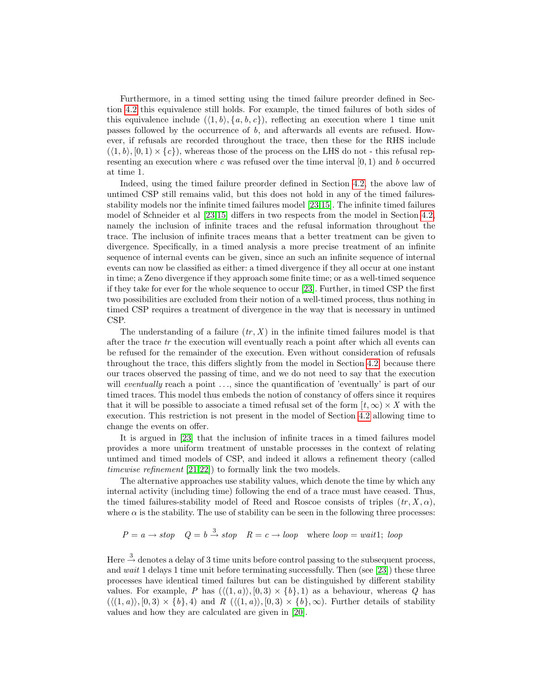Furthermore, in a timed setting using the timed failure preorder defined in Section [4.2](#page-10-0) this equivalence still holds. For example, the timed failures of both sides of this equivalence include  $(\langle 1, b \rangle, \{a, b, c\})$ , reflecting an execution where 1 time unit passes followed by the occurrence of  $b$ , and afterwards all events are refused. However, if refusals are recorded throughout the trace, then these for the RHS include  $(\langle 1, b \rangle, [0, 1] \times \{c\})$ , whereas those of the process on the LHS do not - this refusal representing an execution where c was refused over the time interval  $[0, 1)$  and b occurred at time 1.

Indeed, using the timed failure preorder defined in Section [4.2,](#page-10-0) the above law of untimed CSP still remains valid, but this does not hold in any of the timed failuresstability models nor the infinite timed failures model [\[23,](#page-14-9)[15\]](#page-14-12). The infinite timed failures model of Schneider et al [\[23](#page-14-9)[,15\]](#page-14-12) differs in two respects from the model in Section [4.2,](#page-10-0) namely the inclusion of infinite traces and the refusal information throughout the trace. The inclusion of infinite traces means that a better treatment can be given to divergence. Specifically, in a timed analysis a more precise treatment of an infinite sequence of internal events can be given, since an such an infinite sequence of internal events can now be classified as either: a timed divergence if they all occur at one instant in time; a Zeno divergence if they approach some finite time; or as a well-timed sequence if they take for ever for the whole sequence to occur [\[23\]](#page-14-9). Further, in timed CSP the first two possibilities are excluded from their notion of a well-timed process, thus nothing in timed CSP requires a treatment of divergence in the way that is necessary in untimed CSP.

The understanding of a failure  $(tr, X)$  in the infinite timed failures model is that after the trace tr the execution will eventually reach a point after which all events can be refused for the remainder of the execution. Even without consideration of refusals throughout the trace, this differs slightly from the model in Section [4.2,](#page-10-0) because there our traces observed the passing of time, and we do not need to say that the execution will eventually reach a point ..., since the quantification of 'eventually' is part of our timed traces. This model thus embeds the notion of constancy of offers since it requires that it will be possible to associate a timed refusal set of the form  $[t,\infty) \times X$  with the execution. This restriction is not present in the model of Section [4.2](#page-10-0) allowing time to change the events on offer.

It is argued in [\[23\]](#page-14-9) that the inclusion of infinite traces in a timed failures model provides a more uniform treatment of unstable processes in the context of relating untimed and timed models of CSP, and indeed it allows a refinement theory (called timewise refinement [\[21,](#page-14-16)[22\]](#page-14-17)) to formally link the two models.

The alternative approaches use stability values, which denote the time by which any internal activity (including time) following the end of a trace must have ceased. Thus, the timed failures-stability model of Reed and Roscoe consists of triples  $(tr, X, \alpha)$ , where  $\alpha$  is the stability. The use of stability can be seen in the following three processes:

$$
P = a \rightarrow stop
$$
  $Q = b \stackrel{3}{\rightarrow} stop$   $R = c \rightarrow loop$  where  $loop = wait1$ ;  $loop$ 

Here  $\stackrel{3}{\rightarrow}$  denotes a delay of 3 time units before control passing to the subsequent process, and wait 1 delays 1 time unit before terminating successfully. Then (see [\[23\]](#page-14-9)) these three processes have identical timed failures but can be distinguished by different stability values. For example, P has  $(\langle (1, a) \rangle, [0, 3) \times \{b\}, 1)$  as a behaviour, whereas Q has  $(\langle (1, a) \rangle, [0, 3) \times \{b\}, 4)$  and R  $(\langle (1, a) \rangle, [0, 3) \times \{b\}, \infty)$ . Further details of stability values and how they are calculated are given in [\[20\]](#page-14-10).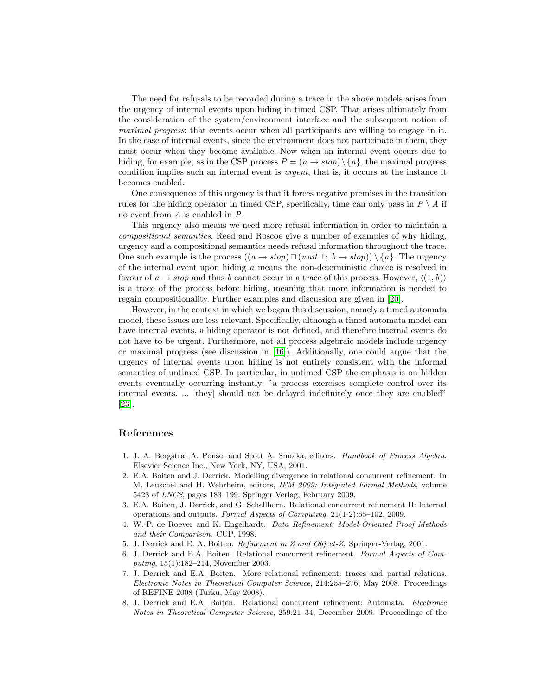The need for refusals to be recorded during a trace in the above models arises from the urgency of internal events upon hiding in timed CSP. That arises ultimately from the consideration of the system/environment interface and the subsequent notion of maximal progress: that events occur when all participants are willing to engage in it. In the case of internal events, since the environment does not participate in them, they must occur when they become available. Now when an internal event occurs due to hiding, for example, as in the CSP process  $P = (a \rightarrow stop) \setminus \{a\}$ , the maximal progress condition implies such an internal event is *urgent*, that is, it occurs at the instance it becomes enabled.

One consequence of this urgency is that it forces negative premises in the transition rules for the hiding operator in timed CSP, specifically, time can only pass in  $P \setminus A$  if no event from A is enabled in P.

This urgency also means we need more refusal information in order to maintain a compositional semantics. Reed and Roscoe give a number of examples of why hiding, urgency and a compositional semantics needs refusal information throughout the trace. One such example is the process  $((a \rightarrow stop) \sqcap (wait 1; b \rightarrow stop)) \setminus \{a\}$ . The urgency of the internal event upon hiding  $a$  means the non-deterministic choice is resolved in favour of  $a \rightarrow stop$  and thus b cannot occur in a trace of this process. However,  $\langle (1, b) \rangle$ is a trace of the process before hiding, meaning that more information is needed to regain compositionality. Further examples and discussion are given in [\[20\]](#page-14-10).

However, in the context in which we began this discussion, namely a timed automata model, these issues are less relevant. Specifically, although a timed automata model can have internal events, a hiding operator is not defined, and therefore internal events do not have to be urgent. Furthermore, not all process algebraic models include urgency or maximal progress (see discussion in [\[16\]](#page-14-18)). Additionally, one could argue that the urgency of internal events upon hiding is not entirely consistent with the informal semantics of untimed CSP. In particular, in untimed CSP the emphasis is on hidden events eventually occurring instantly: "a process exercises complete control over its internal events. ... [they] should not be delayed indefinitely once they are enabled" [\[23\]](#page-14-9).

# References

- <span id="page-13-7"></span>1. J. A. Bergstra, A. Ponse, and Scott A. Smolka, editors. Handbook of Process Algebra. Elsevier Science Inc., New York, NY, USA, 2001.
- <span id="page-13-4"></span>2. E.A. Boiten and J. Derrick. Modelling divergence in relational concurrent refinement. In M. Leuschel and H. Wehrheim, editors, IFM 2009: Integrated Formal Methods, volume 5423 of LNCS, pages 183–199. Springer Verlag, February 2009.
- <span id="page-13-2"></span>3. E.A. Boiten, J. Derrick, and G. Schellhorn. Relational concurrent refinement II: Internal operations and outputs. Formal Aspects of Computing, 21(1-2):65–102, 2009.
- <span id="page-13-0"></span>4. W.-P. de Roever and K. Engelhardt. Data Refinement: Model-Oriented Proof Methods and their Comparison. CUP, 1998.
- <span id="page-13-6"></span>5. J. Derrick and E. A. Boiten. Refinement in Z and Object-Z. Springer-Verlag, 2001.
- <span id="page-13-1"></span>6. J. Derrick and E.A. Boiten. Relational concurrent refinement. Formal Aspects of Computing, 15(1):182–214, November 2003.
- <span id="page-13-3"></span>7. J. Derrick and E.A. Boiten. More relational refinement: traces and partial relations. Electronic Notes in Theoretical Computer Science, 214:255–276, May 2008. Proceedings of REFINE 2008 (Turku, May 2008).
- <span id="page-13-5"></span>8. J. Derrick and E.A. Boiten. Relational concurrent refinement: Automata. Electronic Notes in Theoretical Computer Science, 259:21–34, December 2009. Proceedings of the